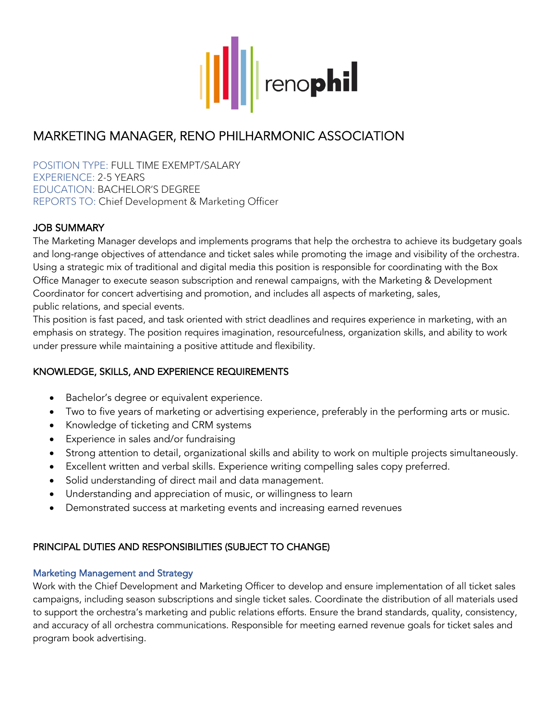

# MARKETING MANAGER, RENO PHILHARMONIC ASSOCIATION

POSITION TYPE: FULL TIME EXEMPT/SALARY EXPERIENCE: 2-5 YEARS EDUCATION: BACHELOR'S DEGREE REPORTS TO: Chief Development & Marketing Officer

## JOB SUMMARY

The Marketing Manager develops and implements programs that help the orchestra to achieve its budgetary goals and long-range objectives of attendance and ticket sales while promoting the image and visibility of the orchestra. Using a strategic mix of traditional and digital media this position is responsible for coordinating with the Box Office Manager to execute season subscription and renewal campaigns, with the Marketing & Development Coordinator for concert advertising and promotion, and includes all aspects of marketing, sales, public relations, and special events.

This position is fast paced, and task oriented with strict deadlines and requires experience in marketing, with an emphasis on strategy. The position requires imagination, resourcefulness, organization skills, and ability to work under pressure while maintaining a positive attitude and flexibility.

## KNOWLEDGE, SKILLS, AND EXPERIENCE REQUIREMENTS

- Bachelor's degree or equivalent experience.
- Two to five years of marketing or advertising experience, preferably in the performing arts or music.
- Knowledge of ticketing and CRM systems
- Experience in sales and/or fundraising
- Strong attention to detail, organizational skills and ability to work on multiple projects simultaneously.
- Excellent written and verbal skills. Experience writing compelling sales copy preferred.
- Solid understanding of direct mail and data management.
- Understanding and appreciation of music, or willingness to learn
- Demonstrated success at marketing events and increasing earned revenues

## PRINCIPAL DUTIES AND RESPONSIBILITIES (SUBJECT TO CHANGE)

#### Marketing Management and Strategy

Work with the Chief Development and Marketing Officer to develop and ensure implementation of all ticket sales campaigns, including season subscriptions and single ticket sales. Coordinate the distribution of all materials used to support the orchestra's marketing and public relations efforts. Ensure the brand standards, quality, consistency, and accuracy of all orchestra communications. Responsible for meeting earned revenue goals for ticket sales and program book advertising.